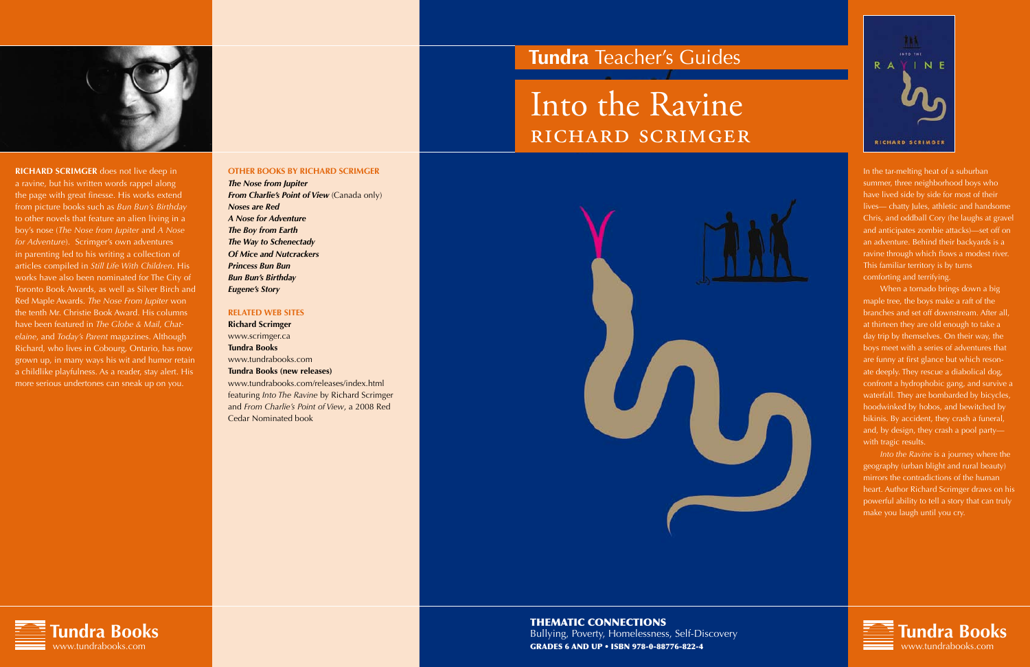

**RICHARD SCRIMGER** does not live deep in a ravine, but his written words rappel along the page with great finesse. His works extend from picture books such as *Bun Bun's Birthday* to other novels that feature an alien living in a boy's nose (*The Nose from Jupiter* and *A Nose for Adventure*). Scrimger's own adventures in parenting led to his writing a collection of articles compiled in *Still Life With Children*. His works have also been nominated for The City of Toronto Book Awards, as well as Silver Birch and Red Maple Awards. *The Nose From Jupiter* won the tenth Mr. Christie Book Award. His columns have been featured in *The Globe & Mail*, *Chatelaine*, and *Today's Parent* magazines. Although Richard, who lives in Cobourg, Ontario, has now grown up, in many ways his wit and humor retain a childlike playfulness. As a reader, stay alert. His more serious undertones can sneak up on you.





In the tar-melting heat of a suburban summer, three neighborhood boys who have lived side by side for most of their lives— chatty Jules, athletic and handsome Chris, and oddball Cory (he laughs at gravel and anticipates zombie attacks)—set off on an adventure. Behind their backyards is a ravine through which flows a modest river. This familiar territory is by turns comforting and terrifying.

When a tornado brings down a big maple tree, the boys make a raft of the branches and set off downstream. After all, at thirteen they are old enough to take a day trip by themselves. On their way, the boys meet with a series of adventures that are funny at first glance but which resonate deeply. They rescue a diabolical dog, confront a hydrophobic gang, and survive a waterfall. They are bombarded by bicycles, hoodwinked by hobos, and bewitched by bikinis. By accident, they crash a funeral, and, by design, they crash a pool party with tragic results.

*Into the Ravine* is a journey where the geography (urban blight and rural beauty) mirrors the contradictions of the human heart. Author Richard Scrimger draws on his powerful ability to tell a story that can truly make you laugh until you cry.

> **Tundra Books** www.tundrabooks.com





## **Tundra** Teacher's Guides

# Into the Ravine richard scrimger



#### **OTHER BOOKS BY richard scrimger**

*The Nose from Jupiter From Charlie's Point of View (Canada only) Noses are Red A Nose for Adventure The Boy from Earth The Way to Schenectady Of Mice and Nutcrackers Princess Bun Bun Bun Bun's Birthday Eugene's Story*

#### **Related Web Sites**

**Richard Scrimger** www.scrimger.ca **Tundra Books** www.tundrabooks.com **Tundra Books (new releases)** www.tundrabooks.com/releases/index.html

featuring *Into The Ravine* by Richard Scrimger and *From Charlie's Point of View*, a 2008 Red Cedar Nominated book